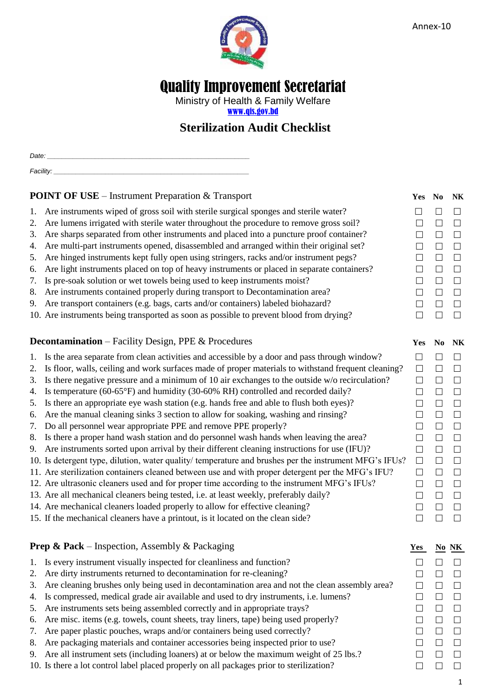

# Quality Improvement Secretariat

Ministry of Health & Family Welfare [www.qis.gov.bd](http://www.qis.gov.bd/)

## **Sterilization Audit Checklist**

*Date: \_\_\_\_\_\_\_\_\_\_\_\_\_\_\_\_\_\_\_\_\_\_\_\_\_\_\_\_\_\_\_\_\_\_\_\_\_\_\_\_\_\_\_\_\_\_\_\_\_\_\_\_\_\_\_*  $Facility:$ 

| <b>POINT OF USE</b> – Instrument Preparation & Transport         |                                                                                                        |        | Yes No | <b>NK</b> |
|------------------------------------------------------------------|--------------------------------------------------------------------------------------------------------|--------|--------|-----------|
| 1.                                                               | Are instruments wiped of gross soil with sterile surgical sponges and sterile water?                   | $\Box$ | $\Box$ | $\Box$    |
| 2.                                                               | Are lumens irrigated with sterile water throughout the procedure to remove gross soil?                 | $\Box$ | $\Box$ | $\Box$    |
| 3.                                                               | Are sharps separated from other instruments and placed into a puncture proof container?                | $\Box$ | $\Box$ | $\Box$    |
| 4.                                                               | Are multi-part instruments opened, disassembled and arranged within their original set?                | $\Box$ | $\Box$ | $\Box$    |
| 5.                                                               | Are hinged instruments kept fully open using stringers, racks and/or instrument pegs?                  | $\Box$ | $\Box$ | $\Box$    |
| 6.                                                               | Are light instruments placed on top of heavy instruments or placed in separate containers?             | $\Box$ | $\Box$ | $\Box$    |
| 7.                                                               | Is pre-soak solution or wet towels being used to keep instruments moist?                               | $\Box$ | $\Box$ | $\Box$    |
| 8.                                                               | Are instruments contained properly during transport to Decontamination area?                           | $\Box$ | $\Box$ | $\Box$    |
| 9.                                                               | Are transport containers (e.g. bags, carts and/or containers) labeled biohazard?                       | $\Box$ | $\Box$ | $\Box$    |
|                                                                  | 10. Are instruments being transported as soon as possible to prevent blood from drying?                | $\Box$ | $\Box$ | $\Box$    |
|                                                                  |                                                                                                        |        |        |           |
|                                                                  | <b>Decontamination</b> – Facility Design, PPE & Procedures                                             | Yes    | No     | <b>NK</b> |
| 1.                                                               | Is the area separate from clean activities and accessible by a door and pass through window?           | $\Box$ | $\Box$ | $\Box$    |
| 2.                                                               | Is floor, walls, ceiling and work surfaces made of proper materials to withstand frequent cleaning?    | $\Box$ | $\Box$ | $\Box$    |
| 3.                                                               | Is there negative pressure and a minimum of 10 air exchanges to the outside w/o recirculation?         | $\Box$ | $\Box$ | $\Box$    |
| 4.                                                               | Is temperature (60-65°F) and humidity (30-60% RH) controlled and recorded daily?                       | $\Box$ | $\Box$ | $\Box$    |
| 5.                                                               | Is there an appropriate eye wash station (e.g. hands free and able to flush both eyes)?                | $\Box$ | $\Box$ | $\Box$    |
| 6.                                                               | Are the manual cleaning sinks 3 section to allow for soaking, washing and rinsing?                     | $\Box$ | $\Box$ | $\Box$    |
| 7.                                                               | Do all personnel wear appropriate PPE and remove PPE properly?                                         | $\Box$ | $\Box$ | $\Box$    |
| 8.                                                               | Is there a proper hand wash station and do personnel wash hands when leaving the area?                 | $\Box$ | $\Box$ | $\Box$    |
| 9.                                                               | Are instruments sorted upon arrival by their different cleaning instructions for use (IFU)?            | $\Box$ | $\Box$ | $\Box$    |
|                                                                  | 10. Is detergent type, dilution, water quality/ temperature and brushes per the instrument MFG's IFUs? | $\Box$ | $\Box$ | $\Box$    |
|                                                                  | 11. Are sterilization containers cleaned between use and with proper detergent per the MFG's IFU?      | $\Box$ | $\Box$ | $\Box$    |
|                                                                  | 12. Are ultrasonic cleaners used and for proper time according to the instrument MFG's IFUs?           | $\Box$ | $\Box$ | $\Box$    |
|                                                                  | 13. Are all mechanical cleaners being tested, i.e. at least weekly, preferably daily?                  | $\Box$ | $\Box$ | $\Box$    |
|                                                                  | 14. Are mechanical cleaners loaded properly to allow for effective cleaning?                           | $\Box$ | $\Box$ | $\Box$    |
|                                                                  | 15. If the mechanical cleaners have a printout, is it located on the clean side?                       | $\Box$ | $\Box$ | $\Box$    |
| <b>Prep &amp; Pack</b> – Inspection, Assembly & Packaging<br>Yes |                                                                                                        |        |        | $No NK$   |
|                                                                  | 1. Is every instrument visually inspected for cleanliness and function?                                | $\Box$ | $\Box$ | $\Box$    |
|                                                                  | 2. Are dirty instruments returned to decontamination for re-cleaning?                                  | П      | $\Box$ | $\Box$    |

- 3. Are cleaning brushes only being used in decontamination area and not the clean assembly area?  $\square$
- 4. Is compressed, medical grade air available and used to dry instruments, i.e. lumens?
- 5. Are instruments sets being assembled correctly and in appropriate trays?
- 6. Are misc. items (e.g. towels, count sheets, tray liners, tape) being used properly?  $\square \square \square$
- 7. Are paper plastic pouches, wraps and/or containers being used correctly?
- 8. Are packaging materials and container accessories being inspected prior to use?
- 9. Are all instrument sets (including loaners) at or below the maximum weight of 25 lbs.?  $\square$
- 10. Is there a lot control label placed properly on all packages prior to sterilization?